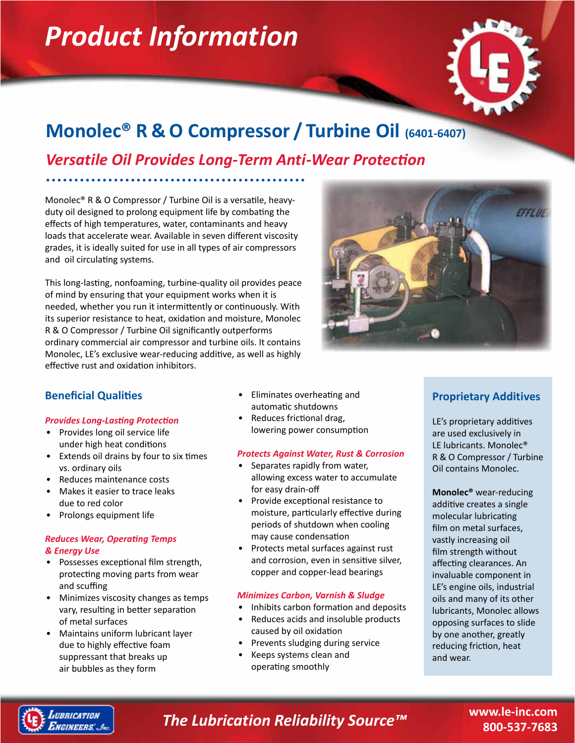# *Product Information*



# **Monolec® R & O Compressor / Turbine Oil (6401-6407)**

*Versatile Oil Provides Long-Term Anti-Wear Protection*

Monolec® R & O Compressor / Turbine Oil is a versatile, heavyduty oil designed to prolong equipment life by combating the effects of high temperatures, water, contaminants and heavy loads that accelerate wear. Available in seven different viscosity grades, it is ideally suited for use in all types of air compressors and oil circulating systems.

This long-lasting, nonfoaming, turbine-quality oil provides peace of mind by ensuring that your equipment works when it is needed, whether you run it intermittently or continuously. With its superior resistance to heat, oxidation and moisture, Monolec R & O Compressor / Turbine Oil significantly outperforms ordinary commercial air compressor and turbine oils. It contains Monolec, LE's exclusive wear-reducing additive, as well as highly effective rust and oxidation inhibitors.



## **Beneficial Qualities**

#### *Provides Long-Lasting Protection*

- Provides long oil service life under high heat conditions
- Extends oil drains by four to six times vs. ordinary oils
- Reduces maintenance costs
- Makes it easier to trace leaks due to red color
- Prolongs equipment life

#### *Reduces Wear, Operating Temps & Energy Use*

- Possesses exceptional film strength, protecting moving parts from wear and scuffing
- Minimizes viscosity changes as temps vary, resulting in better separation of metal surfaces
- Maintains uniform lubricant layer due to highly effective foam suppressant that breaks up air bubbles as they form
- Eliminates overheating and automatic shutdowns
- Reduces frictional drag, lowering power consumption

#### *Protects Against Water, Rust & Corrosion*

- Separates rapidly from water, allowing excess water to accumulate for easy drain-off
- Provide exceptional resistance to moisture, particularly effective during periods of shutdown when cooling may cause condensation
- Protects metal surfaces against rust and corrosion, even in sensitive silver, copper and copper-lead bearings

#### *Minimizes Carbon, Varnish & Sludge*

- Inhibits carbon formation and deposits
- Reduces acids and insoluble products caused by oil oxidation
- Prevents sludging during service
- Keeps systems clean and operating smoothly

## **Proprietary Additives**

LE's proprietary additives are used exclusively in LE lubricants. Monolec® R & O Compressor / Turbine Oil contains Monolec.

**Monolec®** wear-reducing additive creates a single molecular lubricating film on metal surfaces, vastly increasing oil film strength without affecting clearances. An invaluable component in LE's engine oils, industrial oils and many of its other lubricants, Monolec allows opposing surfaces to slide by one another, greatly reducing friction, heat and wear.



## *The Lubrication Reliability Source™*

**www.le-inc.com 800-537-7683**